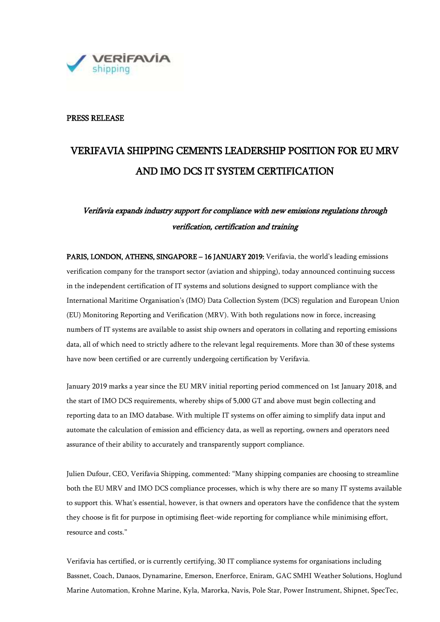

### PRESS RELEASE

# VERIFAVIA SHIPPING CEMENTS LEADERSHIP POSITION FOR EU MRV AND IMO DCS IT SYSTEM CERTIFICATION

## Verifavia expands industry support for compliance with new emissions regulations through verification, certification and training

PARIS, LONDON, ATHENS, SINGAPORE – 16 JANUARY 2019: Verifavia, the world's leading emissions verification company for the transport sector (aviation and shipping), today announced continuing success in the independent certification of IT systems and solutions designed to support compliance with the International Maritime Organisation's (IMO) Data Collection System (DCS) regulation and European Union (EU) Monitoring Reporting and Verification (MRV). With both regulations now in force, increasing numbers of IT systems are available to assist ship owners and operators in collating and reporting emissions data, all of which need to strictly adhere to the relevant legal requirements. More than 30 of these systems have now been certified or are currently undergoing certification by Verifavia.

January 2019 marks a year since the EU MRV initial reporting period commenced on 1st January 2018, and the start of IMO DCS requirements, whereby ships of 5,000 GT and above must begin collecting and reporting data to an IMO database. With multiple IT systems on offer aiming to simplify data input and automate the calculation of emission and efficiency data, as well as reporting, owners and operators need assurance of their ability to accurately and transparently support compliance.

Julien Dufour, CEO, Verifavia Shipping, commented: "Many shipping companies are choosing to streamline both the EU MRV and IMO DCS compliance processes, which is why there are so many IT systems available to support this. What's essential, however, is that owners and operators have the confidence that the system they choose is fit for purpose in optimising fleet-wide reporting for compliance while minimising effort, resource and costs."

Verifavia has certified, or is currently certifying, 30 IT compliance systems for organisations including Bassnet, Coach, Danaos, Dynamarine, Emerson, Enerforce, Eniram, GAC SMHI Weather Solutions, Hoglund Marine Automation, Krohne Marine, Kyla, Marorka, Navis, Pole Star, Power Instrument, Shipnet, SpecTec,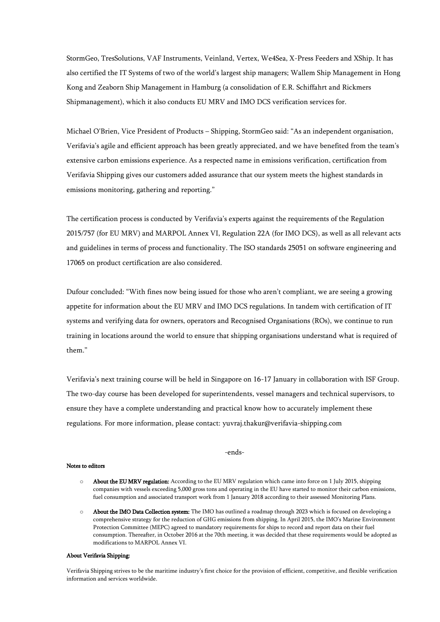StormGeo, TresSolutions, VAF Instruments, Veinland, Vertex, We4Sea, X-Press Feeders and XShip. It has also certified the IT Systems of two of the world's largest ship managers; Wallem Ship Management in Hong Kong and Zeaborn Ship Management in Hamburg (a consolidation of E.R. Schiffahrt and Rickmers Shipmanagement), which it also conducts EU MRV and IMO DCS verification services for.

Michael O'Brien, Vice President of Products – Shipping, StormGeo said: "As an independent organisation, Verifavia's agile and efficient approach has been greatly appreciated, and we have benefited from the team's extensive carbon emissions experience. As a respected name in emissions verification, certification from Verifavia Shipping gives our customers added assurance that our system meets the highest standards in emissions monitoring, gathering and reporting."

The certification process is conducted by Verifavia's experts against the requirements of the Regulation 2015/757 (for EU MRV) and MARPOL Annex VI, Regulation 22A (for IMO DCS), as well as all relevant acts and guidelines in terms of process and functionality. The ISO standards 25051 on software engineering and 17065 on product certification are also considered.

Dufour concluded: "With fines now being issued for those who aren't compliant, we are seeing a growing appetite for information about the EU MRV and IMO DCS regulations. In tandem with certification of IT systems and verifying data for owners, operators and Recognised Organisations (ROs), we continue to run training in locations around the world to ensure that shipping organisations understand what is required of them."

Verifavia's next training course will be held in Singapore on 16-17 January in collaboration with ISF Group. The two-day course has been developed for superintendents, vessel managers and technical supervisors, to ensure they have a complete understanding and practical know how to accurately implement these regulations. For more information, please contact: [yuvraj.thakur@verifavia-shipping.com](mailto:yuvraj.thakur@verifavia-shipping.com)

#### -ends-

#### Notes to editors

- o About the EU MRV regulation: According to the EU MRV regulation which came into force on 1 July 2015, shipping companies with vessels exceeding 5,000 gross tons and operating in the EU have started to monitor their carbon emissions, fuel consumption and associated transport work from 1 January 2018 according to their assessed Monitoring Plans.
- o About the IMO Data Collection system: The IMO has outlined a roadmap through 2023 which is focused on developing a comprehensive strategy for the reduction of GHG emissions from shipping. In April 2015, the IMO's Marine Environment Protection Committee (MEPC) agreed to mandatory requirements for ships to record and report data on their fuel consumption. Thereafter, in October 2016 at the 70th meeting, it was decided that these requirements would be adopted as modifications to MARPOL Annex VI.

#### About Verifavia Shipping:

Verifavia Shipping strives to be the maritime industry's first choice for the provision of efficient, competitive, and flexible verification information and services worldwide.